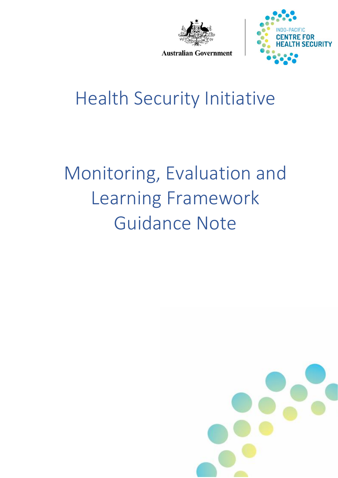



**Australian Government** 

## Health Security Initiative

# Monitoring, Evaluation and Learning Framework Guidance Note

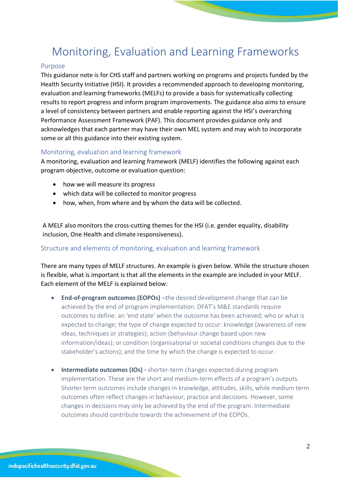### Monitoring, Evaluation and Learning Frameworks

#### Purpose

This guidance note is for CHS staff and partners working on programs and projects funded by the Health Security Initiative (HSI). It provides a recommended approach to developing monitoring, evaluation and learning frameworks (MELFs) to provide a basis for systematically collecting results to report progress and inform program improvements. The guidance also aims to ensure a level of consistency between partners and enable reporting against the HSI's overarching Performance Assessment Framework (PAF). This document provides guidance only and acknowledges that each partner may have their own MEL system and may wish to incorporate some or all this guidance into their existing system.

#### Monitoring, evaluation and learning framework

A monitoring, evaluation and learning framework (MELF) identifies the following against each program objective, outcome or evaluation question:

- how we will measure its progress
- which data will be collected to monitor progress
- how, when, from where and by whom the data will be collected.

A MELF also monitors the cross-cutting themes for the HSI (i.e. gender equality, disability inclusion, One Health and climate responsiveness).

#### Structure and elements of monitoring, evaluation and learning framework

There are many types of MELF structures. An example is given below. While the structure chosen is flexible, what is important is that all the elements in the example are included in your MELF. Each element of the MELF is explained below:

- **End-of-program outcomes (EOPOs)** –the desired development change that can be achieved by the end of program implementation. DFAT's M&E standards require outcomes to define: an 'end state' when the outcome has been achieved; who or what is expected to change; the type of change expected to occur: knowledge (awareness of new ideas, techniques or strategies); action (behaviour change based upon new information/ideas); or condition (organisational or societal conditions changes due to the stakeholder's actions); and the time by which the change is expected to occur.
- **Intermediate outcomes (IOs) -** shorter-term changes expected during program implementation. These are the short and medium-term effects of a program's outputs. Shorter term outcomes include changes in knowledge, attitudes, skills, while medium term outcomes often reflect changes in behaviour, practice and decisions. However, some changes in decisions may only be achieved by the end of the program. Intermediate outcomes should contribute towards the achievement of the EOPOs.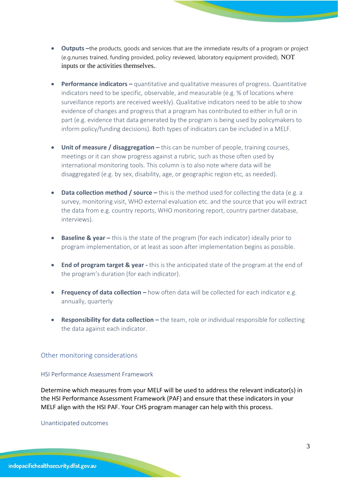- **Outputs –**the products, goods and services that are the immediate results of a program or project (e.g.nurses trained, funding provided, policy reviewed, laboratory equipment provided), NOT inputs or the activities themselves..
- **Performance indicators –** quantitative and qualitative measures of progress. Quantitative indicators need to be specific, observable, and measurable (e.g. % of locations where surveillance reports are received weekly). Qualitative indicators need to be able to show evidence of changes and progress that a program has contributed to either in full or in part (e.g. evidence that data generated by the program is being used by policymakers to inform policy/funding decisions). Both types of indicators can be included in a MELF.
- **Unit of measure / disaggregation –** this can be number of people, training courses, meetings or it can show progress against a rubric, such as those often used by international monitoring tools. This column is to also note where data will be disaggregated (e.g. by sex, disability, age, or geographic region etc, as needed).
- **Data collection method / source** this is the method used for collecting the data (e.g. a survey, monitoring visit, WHO external evaluation etc. and the source that you will extract the data from e.g. country reports, WHO monitoring report, country partner database, interviews).
- **Baseline & year** this is the state of the program (for each indicator) ideally prior to program implementation, or at least as soon after implementation begins as possible.
- **End of program target & year -** this is the anticipated state of the program at the end of the program's duration (for each indicator).
- **Frequency of data collection –** how often data will be collected for each indicator e.g. annually, quarterly
- **Responsibility for data collection –** the team, role or individual responsible for collecting the data against each indicator.

#### Other monitoring considerations

#### HSI Performance Assessment Framework

Determine which measures from your MELF will be used to address the relevant indicator(s) in the HSI Performance Assessment Framework (PAF) and ensure that these indicators in your MELF align with the HSI PAF. Your CHS program manager can help with this process.

Unanticipated outcomes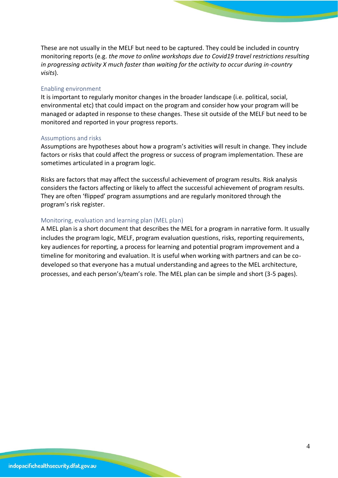These are not usually in the MELF but need to be captured. They could be included in country monitoring reports (e.g. *the move to online workshops due to Covid19 travel restrictions resulting in progressing activity X much faster than waiting for the activity to occur during in-country visits*).

#### Enabling environment

It is important to regularly monitor changes in the broader landscape (i.e. political, social, environmental etc) that could impact on the program and consider how your program will be managed or adapted in response to these changes. These sit outside of the MELF but need to be monitored and reported in your progress reports.

#### Assumptions and risks

Assumptions are hypotheses about how a program's activities will result in change. They include factors or risks that could affect the progress or success of program implementation. These are sometimes articulated in a program logic.

Risks are factors that may affect the successful achievement of program results. Risk analysis considers the factors affecting or likely to affect the successful achievement of program results. They are often 'flipped' program assumptions and are regularly monitored through the program's risk register.

#### Monitoring, evaluation and learning plan (MEL plan)

A MEL plan is a short document that describes the MEL for a program in narrative form. It usually includes the program logic, MELF, program evaluation questions, risks, reporting requirements, key audiences for reporting, a process for learning and potential program improvement and a timeline for monitoring and evaluation. It is useful when working with partners and can be codeveloped so that everyone has a mutual understanding and agrees to the MEL architecture, processes, and each person's/team's role. The MEL plan can be simple and short (3-5 pages).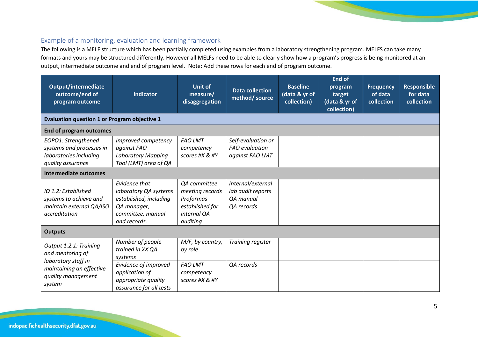#### Example of a monitoring, evaluation and learning framework

The following is a MELF structure which has been partially completed using examples from a laboratory strengthening program. MELFS can take many formats and yours may be structured differently. However all MELFs need to be able to clearly show how a program's progress is being monitored at an output, intermediate outcome and end of program level. Note: Add these rows for each end of program outcome.

| Output/intermediate<br>outcome/end of<br>program outcome                                                                       | <b>Indicator</b>                                                                                                     | <b>Unit of</b><br>measure/<br>disaggregation                                               | <b>Data collection</b><br>method/source                           | <b>Baseline</b><br>(data & yr of<br>collection) | <b>End of</b><br>program<br>target<br>(data & yr of<br>collection) | <b>Frequency</b><br>of data<br>collection | <b>Responsible</b><br>for data<br>collection |  |
|--------------------------------------------------------------------------------------------------------------------------------|----------------------------------------------------------------------------------------------------------------------|--------------------------------------------------------------------------------------------|-------------------------------------------------------------------|-------------------------------------------------|--------------------------------------------------------------------|-------------------------------------------|----------------------------------------------|--|
| <b>Evaluation question 1 or Program objective 1</b>                                                                            |                                                                                                                      |                                                                                            |                                                                   |                                                 |                                                                    |                                           |                                              |  |
| <b>End of program outcomes</b>                                                                                                 |                                                                                                                      |                                                                                            |                                                                   |                                                 |                                                                    |                                           |                                              |  |
| EOPO1: Strengthened<br>systems and processes in<br>laboratories including<br>quality assurance<br><b>Intermediate outcomes</b> | Improved competency<br>against FAO<br><b>Laboratory Mapping</b><br>Tool (LMT) area of QA                             | <b>FAO LMT</b><br>competency<br>scores #X & #Y                                             | Self-evaluation or<br><b>FAO</b> evaluation<br>against FAO LMT    |                                                 |                                                                    |                                           |                                              |  |
| IO 1.2: Established<br>systems to achieve and<br>maintain external QA/ISO<br>accreditation                                     | Evidence that<br>laboratory QA systems<br>established, including<br>QA manager,<br>committee, manual<br>and records. | QA committee<br>meeting records<br>Proformas<br>established for<br>internal QA<br>auditing | Internal/external<br>lab audit reports<br>QA manual<br>QA records |                                                 |                                                                    |                                           |                                              |  |
| <b>Outputs</b>                                                                                                                 |                                                                                                                      |                                                                                            |                                                                   |                                                 |                                                                    |                                           |                                              |  |
| Output 1.2.1: Training<br>and mentoring of<br>laboratory staff in<br>maintaining an effective<br>quality management<br>system  | Number of people<br>trained in XX QA<br>systems                                                                      | M/F, by country,<br>by role                                                                | Training register                                                 |                                                 |                                                                    |                                           |                                              |  |
|                                                                                                                                | Evidence of improved<br>application of<br>appropriate quality<br>assurance for all tests                             | <b>FAO LMT</b><br>competency<br>scores #X & #Y                                             | QA records                                                        |                                                 |                                                                    |                                           |                                              |  |